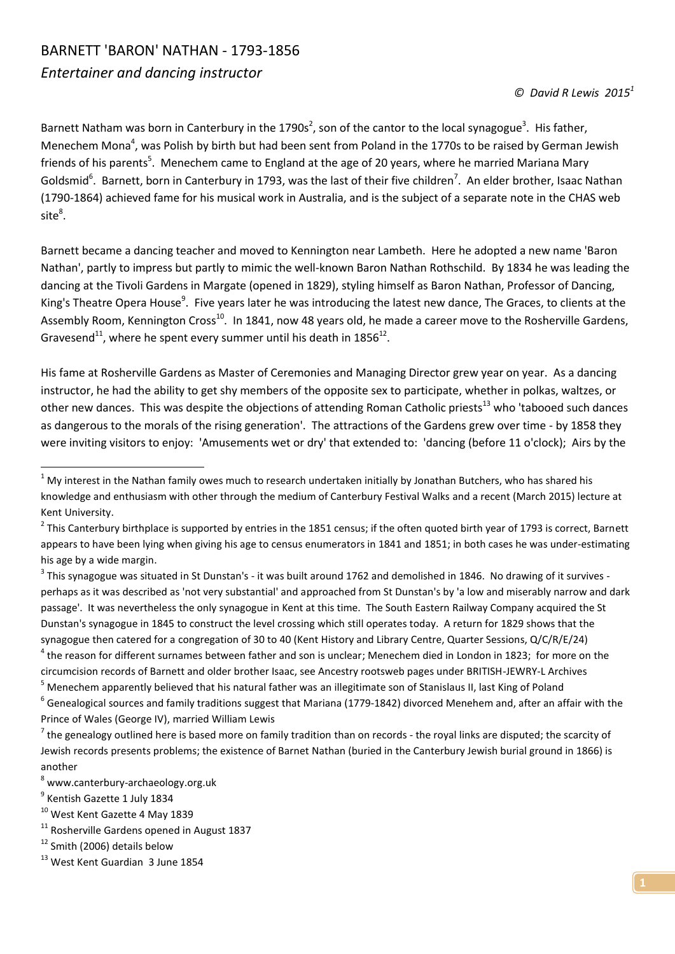## BARNETT 'BARON' NATHAN - 1793-1856 *Entertainer and dancing instructor*

Barnett Natham was born in Canterbury in the 1790s<sup>2</sup>, son of the cantor to the local synagogue<sup>3</sup>. His father, Menechem Mona<sup>4</sup>, was Polish by birth but had been sent from Poland in the 1770s to be raised by German Jewish friends of his parents<sup>5</sup>. Menechem came to England at the age of 20 years, where he married Mariana Mary Goldsmid<sup>6</sup>. Barnett, born in Canterbury in 1793, was the last of their five children<sup>7</sup>. An elder brother, Isaac Nathan (1790-1864) achieved fame for his musical work in Australia, and is the subject of a separate note in the CHAS web  $\mathsf{site}^8.$ 

Barnett became a dancing teacher and moved to Kennington near Lambeth. Here he adopted a new name 'Baron Nathan', partly to impress but partly to mimic the well-known Baron Nathan Rothschild. By 1834 he was leading the dancing at the Tivoli Gardens in Margate (opened in 1829), styling himself as Baron Nathan, Professor of Dancing, King's Theatre Opera House<sup>9</sup>. Five years later he was introducing the latest new dance, The Graces, to clients at the Assembly Room, Kennington Cross<sup>10</sup>. In 1841, now 48 years old, he made a career move to the Rosherville Gardens, Gravesend<sup>11</sup>, where he spent every summer until his death in 1856<sup>12</sup>.

His fame at Rosherville Gardens as Master of Ceremonies and Managing Director grew year on year. As a dancing instructor, he had the ability to get shy members of the opposite sex to participate, whether in polkas, waltzes, or other new dances. This was despite the objections of attending Roman Catholic priests<sup>13</sup> who 'tabooed such dances as dangerous to the morals of the rising generation'. The attractions of the Gardens grew over time - by 1858 they were inviting visitors to enjoy: 'Amusements wet or dry' that extended to: 'dancing (before 11 o'clock); Airs by the

<sup>5</sup> Menechem apparently believed that his natural father was an illegitimate son of Stanislaus II, last King of Poland

1

 $1$  My interest in the Nathan family owes much to research undertaken initially by Jonathan Butchers, who has shared his knowledge and enthusiasm with other through the medium of Canterbury Festival Walks and a recent (March 2015) lecture at Kent University.

 $^2$  This Canterbury birthplace is supported by entries in the 1851 census; if the often quoted birth year of 1793 is correct, Barnett appears to have been lying when giving his age to census enumerators in 1841 and 1851; in both cases he was under-estimating his age by a wide margin.

 $^3$  This synagogue was situated in St Dunstan's - it was built around 1762 and demolished in 1846. No drawing of it survives perhaps as it was described as 'not very substantial' and approached from St Dunstan's by 'a low and miserably narrow and dark passage'. It was nevertheless the only synagogue in Kent at this time. The South Eastern Railway Company acquired the St Dunstan's synagogue in 1845 to construct the level crossing which still operates today. A return for 1829 shows that the synagogue then catered for a congregation of 30 to 40 (Kent History and Library Centre, Quarter Sessions, Q/C/R/E/24)  $^4$  the reason for different surnames between father and son is unclear; Menechem died in London in 1823; for more on the circumcision records of Barnett and older brother Isaac, see Ancestry rootsweb pages under BRITISH-JEWRY-L Archives

 $^6$  Genealogical sources and family traditions suggest that Mariana (1779-1842) divorced Menehem and, after an affair with the Prince of Wales (George IV), married William Lewis

 $^7$  the genealogy outlined here is based more on family tradition than on records - the royal links are disputed; the scarcity of Jewish records presents problems; the existence of Barnet Nathan (buried in the Canterbury Jewish burial ground in 1866) is another

<sup>8</sup> www.canterbury-archaeology.org.uk

<sup>&</sup>lt;sup>9</sup> Kentish Gazette 1 July 1834

<sup>10</sup> West Kent Gazette 4 May 1839

<sup>&</sup>lt;sup>11</sup> Rosherville Gardens opened in August 1837

 $12$  Smith (2006) details below

<sup>&</sup>lt;sup>13</sup> West Kent Guardian 3 June 1854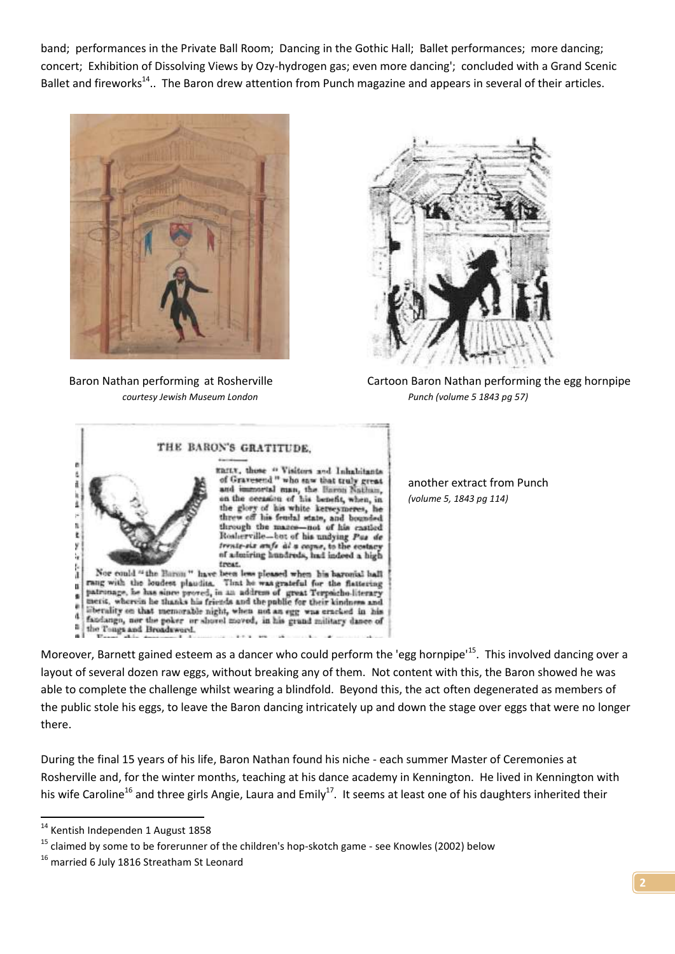band; performances in the Private Ball Room; Dancing in the Gothic Hall; Ballet performances; more dancing; concert; Exhibition of Dissolving Views by Ozy-hydrogen gas; even more dancing'; concluded with a Grand Scenic Ballet and fireworks<sup>14</sup>.. The Baron drew attention from Punch magazine and appears in several of their articles.





 Baron Nathan performing at Rosherville Cartoon Baron Nathan performing the egg hornpipe *courtesy Jewish Museum London Punch (volume 5 1843 pg 57)*



another extract from Punch *(volume 5, 1843 pg 114)*

Moreover, Barnett gained esteem as a dancer who could perform the 'egg hornpipe'<sup>15</sup>. This involved dancing over a layout of several dozen raw eggs, without breaking any of them. Not content with this, the Baron showed he was able to complete the challenge whilst wearing a blindfold. Beyond this, the act often degenerated as members of the public stole his eggs, to leave the Baron dancing intricately up and down the stage over eggs that were no longer there.

During the final 15 years of his life, Baron Nathan found his niche - each summer Master of Ceremonies at Rosherville and, for the winter months, teaching at his dance academy in Kennington. He lived in Kennington with his wife Caroline<sup>16</sup> and three girls Angie, Laura and Emily<sup>17</sup>. It seems at least one of his daughters inherited their

1

<sup>&</sup>lt;sup>14</sup> Kentish Independen 1 August 1858

 $15$  claimed by some to be forerunner of the children's hop-skotch game - see Knowles (2002) below

<sup>&</sup>lt;sup>16</sup> married 6 July 1816 Streatham St Leonard